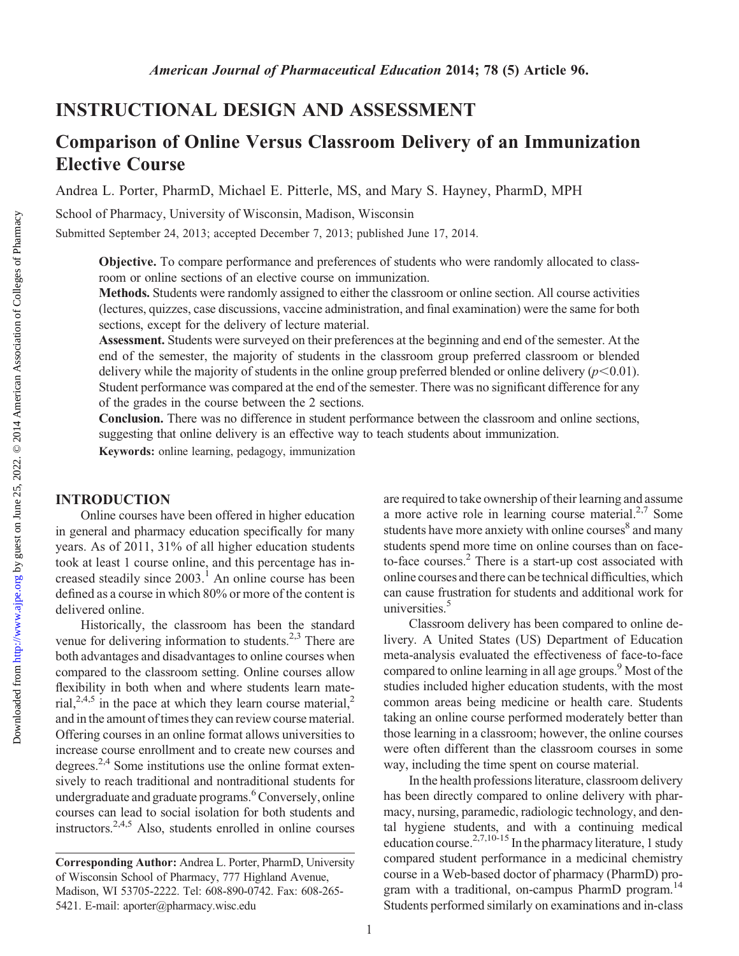<http://www.ajpe.org>

Downloaded from

# INSTRUCTIONAL DESIGN AND ASSESSMENT

# Comparison of Online Versus Classroom Delivery of an Immunization Elective Course

Andrea L. Porter, PharmD, Michael E. Pitterle, MS, and Mary S. Hayney, PharmD, MPH

School of Pharmacy, University of Wisconsin, Madison, Wisconsin

Submitted September 24, 2013; accepted December 7, 2013; published June 17, 2014.

Objective. To compare performance and preferences of students who were randomly allocated to classroom or online sections of an elective course on immunization.

Methods. Students were randomly assigned to either the classroom or online section. All course activities (lectures, quizzes, case discussions, vaccine administration, and final examination) were the same for both sections, except for the delivery of lecture material.

Assessment. Students were surveyed on their preferences at the beginning and end of the semester. At the end of the semester, the majority of students in the classroom group preferred classroom or blended delivery while the majority of students in the online group preferred blended or online delivery  $(p<0.01)$ . Student performance was compared at the end of the semester. There was no significant difference for any of the grades in the course between the 2 sections.

Conclusion. There was no difference in student performance between the classroom and online sections, suggesting that online delivery is an effective way to teach students about immunization.

Keywords: online learning, pedagogy, immunization

### INTRODUCTION

Online courses have been offered in higher education in general and pharmacy education specifically for many years. As of 2011, 31% of all higher education students took at least 1 course online, and this percentage has increased steadily since  $2003<sup>1</sup>$ . An online course has been defined as a course in which 80% or more of the content is delivered online.

Historically, the classroom has been the standard venue for delivering information to students.<sup>2,3</sup> There are both advantages and disadvantages to online courses when compared to the classroom setting. Online courses allow flexibility in both when and where students learn material,<sup>2,4,5</sup> in the pace at which they learn course material,<sup>2</sup> and in the amount of times they can review course material. Offering courses in an online format allows universities to increase course enrollment and to create new courses and degrees.2,4 Some institutions use the online format extensively to reach traditional and nontraditional students for undergraduate and graduate programs.<sup>6</sup> Conversely, online courses can lead to social isolation for both students and instructors.2,4,5 Also, students enrolled in online courses are required to take ownership of their learning and assume a more active role in learning course material. $2,7$  Some students have more anxiety with online courses<sup>8</sup> and many students spend more time on online courses than on faceto-face courses.2 There is a start-up cost associated with online courses and there can be technical difficulties, which can cause frustration for students and additional work for universities.<sup>5</sup>

Classroom delivery has been compared to online delivery. A United States (US) Department of Education meta-analysis evaluated the effectiveness of face-to-face compared to online learning in all age groups.<sup>9</sup> Most of the studies included higher education students, with the most common areas being medicine or health care. Students taking an online course performed moderately better than those learning in a classroom; however, the online courses were often different than the classroom courses in some way, including the time spent on course material.

In the health professions literature, classroom delivery has been directly compared to online delivery with pharmacy, nursing, paramedic, radiologic technology, and dental hygiene students, and with a continuing medical education course. $^{2,7,10-15}$  In the pharmacy literature, 1 study compared student performance in a medicinal chemistry course in a Web-based doctor of pharmacy (PharmD) program with a traditional, on-campus PharmD program.<sup>14</sup> Students performed similarly on examinations and in-class

Corresponding Author: Andrea L. Porter, PharmD, University of Wisconsin School of Pharmacy, 777 Highland Avenue, Madison, WI 53705-2222. Tel: 608-890-0742. Fax: 608-265- 5421. E-mail: aporter@pharmacy.wisc.edu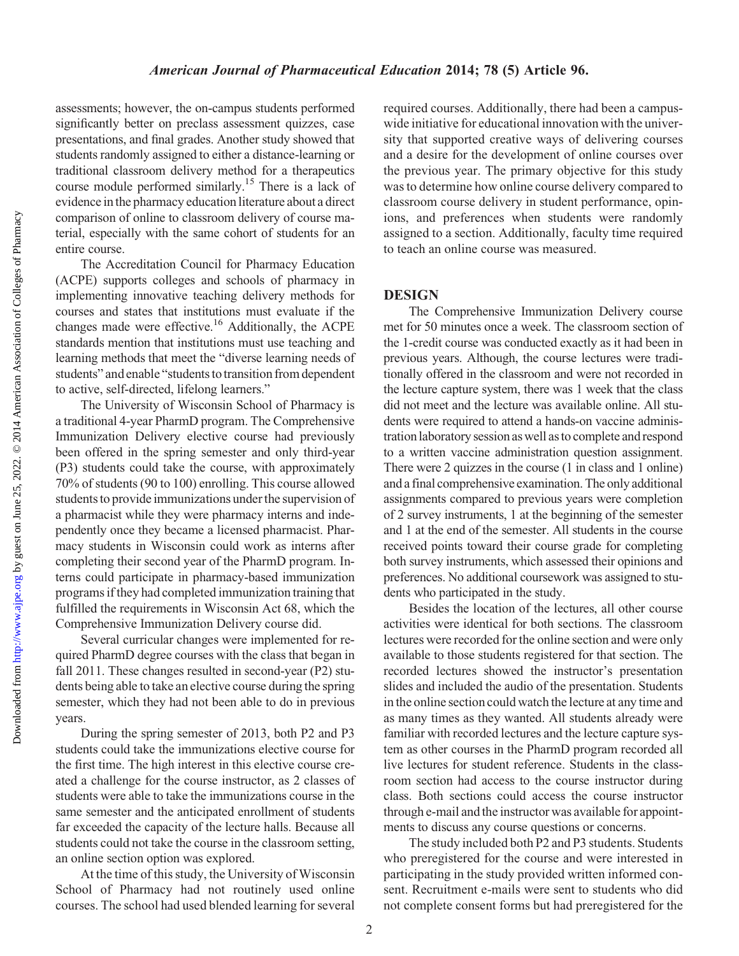assessments; however, the on-campus students performed significantly better on preclass assessment quizzes, case presentations, and final grades. Another study showed that students randomly assigned to either a distance-learning or traditional classroom delivery method for a therapeutics course module performed similarly.<sup>15</sup> There is a lack of evidence in the pharmacy education literature about a direct comparison of online to classroom delivery of course material, especially with the same cohort of students for an entire course.

The Accreditation Council for Pharmacy Education (ACPE) supports colleges and schools of pharmacy in implementing innovative teaching delivery methods for courses and states that institutions must evaluate if the changes made were effective.<sup>16</sup> Additionally, the ACPE standards mention that institutions must use teaching and learning methods that meet the "diverse learning needs of students" and enable "students to transition from dependent to active, self-directed, lifelong learners."

The University of Wisconsin School of Pharmacy is a traditional 4-year PharmD program. The Comprehensive Immunization Delivery elective course had previously been offered in the spring semester and only third-year (P3) students could take the course, with approximately 70% of students (90 to 100) enrolling. This course allowed students to provide immunizations under the supervision of a pharmacist while they were pharmacy interns and independently once they became a licensed pharmacist. Pharmacy students in Wisconsin could work as interns after completing their second year of the PharmD program. Interns could participate in pharmacy-based immunization programs if they had completed immunization training that fulfilled the requirements in Wisconsin Act 68, which the Comprehensive Immunization Delivery course did.

Several curricular changes were implemented for required PharmD degree courses with the class that began in fall 2011. These changes resulted in second-year (P2) students being able to take an elective course during the spring semester, which they had not been able to do in previous years.

During the spring semester of 2013, both P2 and P3 students could take the immunizations elective course for the first time. The high interest in this elective course created a challenge for the course instructor, as 2 classes of students were able to take the immunizations course in the same semester and the anticipated enrollment of students far exceeded the capacity of the lecture halls. Because all students could not take the course in the classroom setting, an online section option was explored.

At the time of this study, the University of Wisconsin School of Pharmacy had not routinely used online courses. The school had used blended learning for several

required courses. Additionally, there had been a campuswide initiative for educational innovation with the university that supported creative ways of delivering courses and a desire for the development of online courses over the previous year. The primary objective for this study was to determine how online course delivery compared to classroom course delivery in student performance, opinions, and preferences when students were randomly assigned to a section. Additionally, faculty time required to teach an online course was measured.

### **DESIGN**

The Comprehensive Immunization Delivery course met for 50 minutes once a week. The classroom section of the 1-credit course was conducted exactly as it had been in previous years. Although, the course lectures were traditionally offered in the classroom and were not recorded in the lecture capture system, there was 1 week that the class did not meet and the lecture was available online. All students were required to attend a hands-on vaccine administration laboratory session as well as to complete and respond to a written vaccine administration question assignment. There were 2 quizzes in the course (1 in class and 1 online) and a final comprehensive examination. The only additional assignments compared to previous years were completion of 2 survey instruments, 1 at the beginning of the semester and 1 at the end of the semester. All students in the course received points toward their course grade for completing both survey instruments, which assessed their opinions and preferences. No additional coursework was assigned to students who participated in the study.

Besides the location of the lectures, all other course activities were identical for both sections. The classroom lectures were recorded for the online section and were only available to those students registered for that section. The recorded lectures showed the instructor's presentation slides and included the audio of the presentation. Students in the online section could watch the lecture at any time and as many times as they wanted. All students already were familiar with recorded lectures and the lecture capture system as other courses in the PharmD program recorded all live lectures for student reference. Students in the classroom section had access to the course instructor during class. Both sections could access the course instructor through e-mail and the instructor was available for appointments to discuss any course questions or concerns.

The study included both P2 and P3 students. Students who preregistered for the course and were interested in participating in the study provided written informed consent. Recruitment e-mails were sent to students who did not complete consent forms but had preregistered for the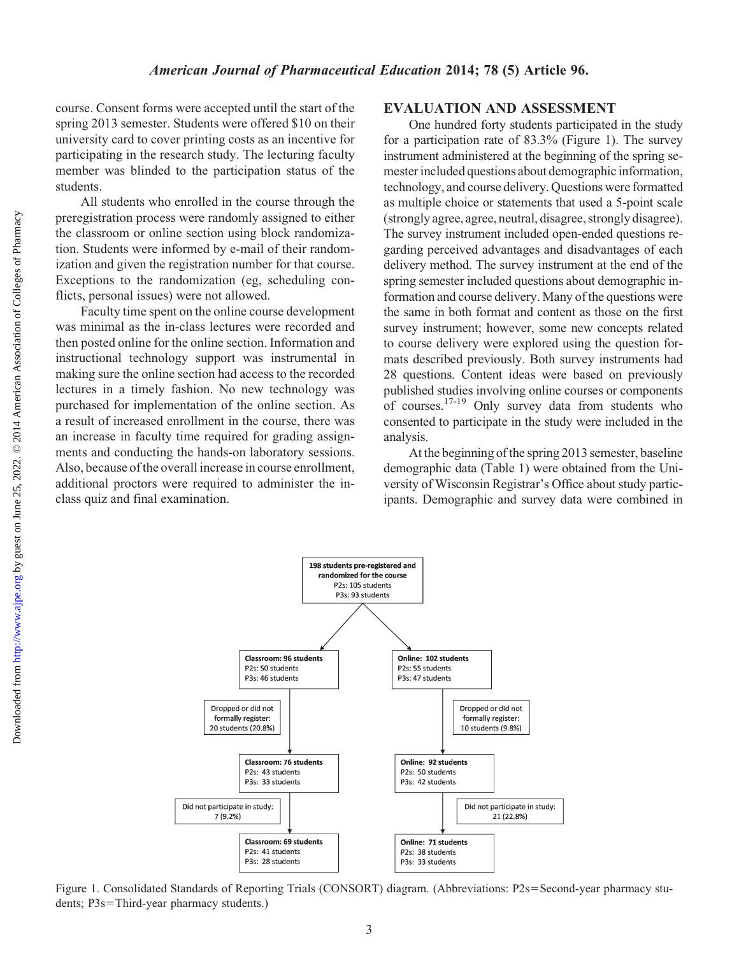# course. Consent forms were accepted until the start of the spring 2013 semester. Students were offered \$10 on their university card to cover printing costs as an incentive for participating in the research study. The lecturing faculty member was blinded to the participation status of the students. All students who enrolled in the course through the preregistration process were randomly assigned to either the classroom or online section using block randomization. Students were informed by e-mail of their randomization and given the registration number for that course. Exceptions to the randomization (eg, scheduling conflicts, personal issues) were not allowed. American Journal of Pharmaceutical Education 2014; 78 (5) Article 96.

Faculty time spent on the online course development was minimal as the in-class lectures were recorded and then posted online for the online section. Information and instructional technology support was instrumental in making sure the online section had access to the recorded lectures in a timely fashion. No new technology was purchased for implementation of the online section. As a result of increased enrollment in the course, there was an increase in faculty time required for grading assignments and conducting the hands-on laboratory sessions. Also, because of the overall increase in course enrollment, additional proctors were required to administer the inclass quiz and final examination.

## EVALUATION AND ASSESSMENT

One hundred forty students participated in the study for a participation rate of 83.3% (Figure 1). The survey instrument administered at the beginning of the spring semester included questions about demographic information, technology, and course delivery. Questions were formatted as multiple choice or statements that used a 5-point scale (strongly agree, agree, neutral, disagree, strongly disagree). The survey instrument included open-ended questions regarding perceived advantages and disadvantages of each delivery method. The survey instrument at the end of the spring semester included questions about demographic information and course delivery. Many of the questions were the same in both format and content as those on the first survey instrument; however, some new concepts related to course delivery were explored using the question formats described previously. Both survey instruments had 28 questions. Content ideas were based on previously published studies involving online courses or components of courses.<sup>17-19</sup> Only survey data from students who consented to participate in the study were included in the analysis.

At the beginning of the spring 2013 semester, baseline demographic data (Table 1) were obtained from the University of Wisconsin Registrar's Office about study participants. Demographic and survey data were combined in



Figure 1. Consolidated Standards of Reporting Trials (CONSORT) diagram. (Abbreviations: P2s=Second-year pharmacy students; P3s=Third-year pharmacy students.)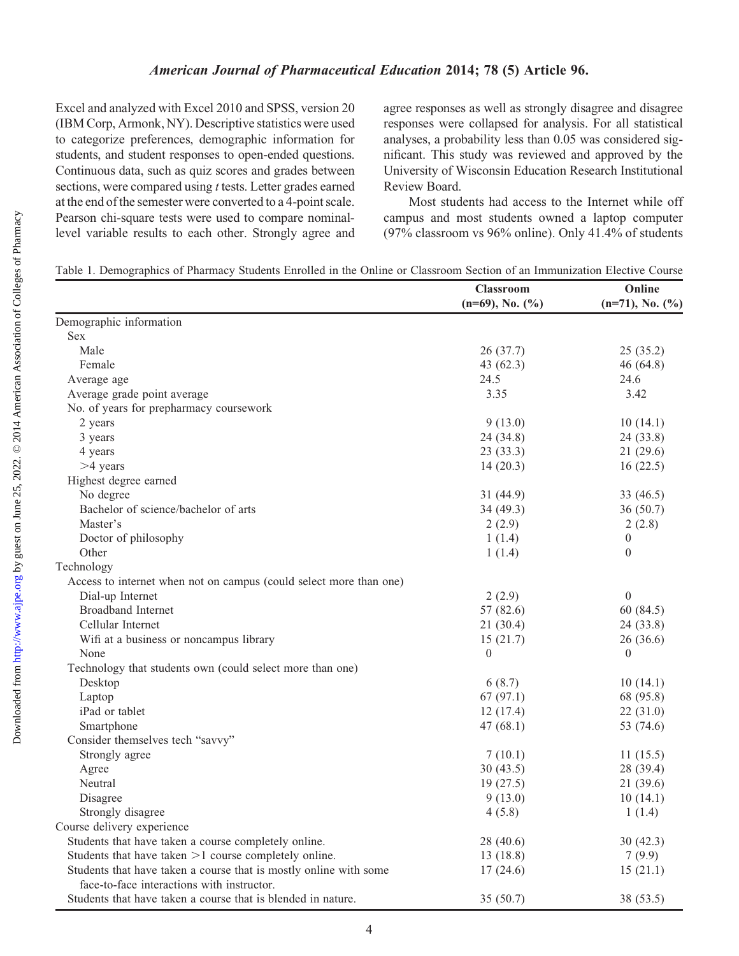Excel and analyzed with Excel 2010 and SPSS, version 20 (IBM Corp, Armonk, NY). Descriptive statistics were used to categorize preferences, demographic information for students, and student responses to open-ended questions. Continuous data, such as quiz scores and grades between sections, were compared using t tests. Letter grades earned at the end of the semester were converted to a 4-point scale. Pearson chi-square tests were used to compare nominallevel variable results to each other. Strongly agree and agree responses as well as strongly disagree and disagree responses were collapsed for analysis. For all statistical analyses, a probability less than 0.05 was considered significant. This study was reviewed and approved by the University of Wisconsin Education Research Institutional Review Board.

Most students had access to the Internet while off campus and most students owned a laptop computer (97% classroom vs 96% online). Only 41.4% of students

| Table 1. Demographics of Pharmacy Students Enrolled in the Online or Classroom Section of an Immunization Elective Course |  |  |  |  |  |
|---------------------------------------------------------------------------------------------------------------------------|--|--|--|--|--|
|---------------------------------------------------------------------------------------------------------------------------|--|--|--|--|--|

|                                                                    | <b>Classroom</b><br>$(n=69)$ , No. $(\%)$ | Online<br>$(n=71)$ , No. $(\%$ ) |
|--------------------------------------------------------------------|-------------------------------------------|----------------------------------|
| Demographic information                                            |                                           |                                  |
| <b>Sex</b>                                                         |                                           |                                  |
| Male                                                               | 26(37.7)                                  | 25(35.2)                         |
| Female                                                             | 43 $(62.3)$                               | 46(64.8)                         |
| Average age                                                        | 24.5                                      | 24.6                             |
| Average grade point average                                        | 3.35                                      | 3.42                             |
| No. of years for prepharmacy coursework                            |                                           |                                  |
| 2 years                                                            | 9(13.0)                                   | 10(14.1)                         |
| 3 years                                                            | 24 (34.8)                                 | 24(33.8)                         |
| 4 years                                                            | 23(33.3)                                  | 21(29.6)                         |
| $>4$ years                                                         | 14(20.3)                                  | 16(22.5)                         |
| Highest degree earned                                              |                                           |                                  |
| No degree                                                          | 31 (44.9)                                 | 33 $(46.5)$                      |
| Bachelor of science/bachelor of arts                               | 34 (49.3)                                 | 36(50.7)                         |
| Master's                                                           | 2(2.9)                                    | 2(2.8)                           |
| Doctor of philosophy                                               | 1(1.4)                                    | $\mathbf{0}$                     |
| Other                                                              | 1(1.4)                                    | $\theta$                         |
| Technology                                                         |                                           |                                  |
| Access to internet when not on campus (could select more than one) |                                           |                                  |
| Dial-up Internet                                                   | 2(2.9)                                    | $\mathbf{0}$                     |
| <b>Broadband Internet</b>                                          | 57 (82.6)                                 | 60(84.5)                         |
| Cellular Internet                                                  | 21(30.4)                                  | 24(33.8)                         |
| Wifi at a business or noncampus library                            | 15(21.7)                                  | 26(36.6)                         |
| None                                                               | $\overline{0}$                            | $\mathbf{0}$                     |
| Technology that students own (could select more than one)          |                                           |                                  |
| Desktop                                                            | 6(8.7)                                    | 10(14.1)                         |
| Laptop                                                             | 67(97.1)                                  | 68 (95.8)                        |
| iPad or tablet                                                     | 12(17.4)                                  | 22(31.0)                         |
| Smartphone                                                         | 47(68.1)                                  | 53 (74.6)                        |
| Consider themselves tech "savvy"                                   |                                           |                                  |
| Strongly agree                                                     | 7(10.1)                                   | 11(15.5)                         |
| Agree                                                              | 30(43.5)                                  | 28(39.4)                         |
| Neutral                                                            | 19(27.5)                                  | 21(39.6)                         |
| Disagree                                                           | 9(13.0)                                   | 10(14.1)                         |
| Strongly disagree                                                  | 4(5.8)                                    | 1(1.4)                           |
| Course delivery experience                                         |                                           |                                  |
| Students that have taken a course completely online.               | 28 (40.6)                                 | 30 (42.3)                        |
| Students that have taken $>1$ course completely online.            | 13(18.8)                                  | 7(9.9)                           |
| Students that have taken a course that is mostly online with some  | 17(24.6)                                  | 15(21.1)                         |
| face-to-face interactions with instructor.                         |                                           |                                  |
| Students that have taken a course that is blended in nature.       | 35(50.7)                                  | 38 (53.5)                        |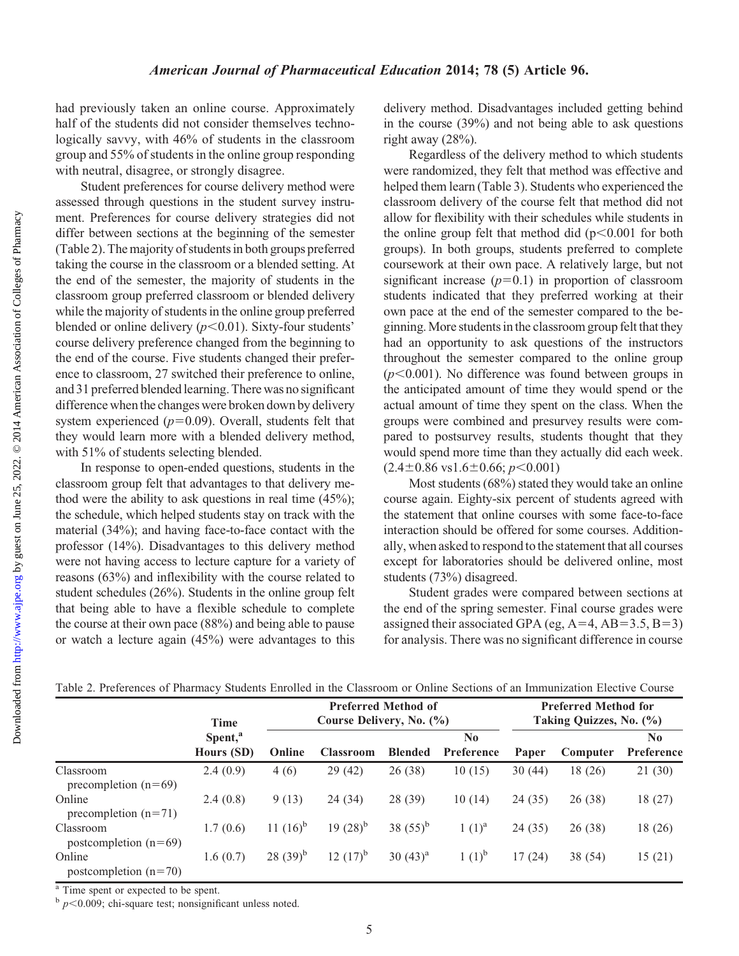had previously taken an online course. Approximately half of the students did not consider themselves technologically savvy, with 46% of students in the classroom group and 55% of students in the online group responding with neutral, disagree, or strongly disagree.

Student preferences for course delivery method were assessed through questions in the student survey instrument. Preferences for course delivery strategies did not differ between sections at the beginning of the semester (Table 2). The majority of students in both groups preferred taking the course in the classroom or a blended setting. At the end of the semester, the majority of students in the classroom group preferred classroom or blended delivery while the majority of students in the online group preferred blended or online delivery  $(p<0.01)$ . Sixty-four students' course delivery preference changed from the beginning to the end of the course. Five students changed their preference to classroom, 27 switched their preference to online, and 31 preferred blended learning. There was no significant difference whenthe changes were broken down by delivery system experienced  $(p=0.09)$ . Overall, students felt that they would learn more with a blended delivery method, with 51% of students selecting blended.

In response to open-ended questions, students in the classroom group felt that advantages to that delivery method were the ability to ask questions in real time (45%); the schedule, which helped students stay on track with the material (34%); and having face-to-face contact with the professor (14%). Disadvantages to this delivery method were not having access to lecture capture for a variety of reasons (63%) and inflexibility with the course related to student schedules (26%). Students in the online group felt that being able to have a flexible schedule to complete the course at their own pace (88%) and being able to pause or watch a lecture again (45%) were advantages to this delivery method. Disadvantages included getting behind in the course (39%) and not being able to ask questions right away (28%).

Regardless of the delivery method to which students were randomized, they felt that method was effective and helped them learn (Table 3). Students who experienced the classroom delivery of the course felt that method did not allow for flexibility with their schedules while students in the online group felt that method did  $(p<0.001$  for both groups). In both groups, students preferred to complete coursework at their own pace. A relatively large, but not significant increase  $(p=0.1)$  in proportion of classroom students indicated that they preferred working at their own pace at the end of the semester compared to the beginning. More students inthe classroom group felt that they had an opportunity to ask questions of the instructors throughout the semester compared to the online group  $(p<0.001)$ . No difference was found between groups in the anticipated amount of time they would spend or the actual amount of time they spent on the class. When the groups were combined and presurvey results were compared to postsurvey results, students thought that they would spend more time than they actually did each week.  $(2.4\pm0.86 \text{ vs } 1.6\pm0.66; p<0.001)$ 

Most students (68%) stated they would take an online course again. Eighty-six percent of students agreed with the statement that online courses with some face-to-face interaction should be offered for some courses. Additionally, when asked to respond to the statement that all courses except for laboratories should be delivered online, most students (73%) disagreed.

Student grades were compared between sections at the end of the spring semester. Final course grades were assigned their associated GPA (eg,  $A=4$ ,  $AB=3.5$ ,  $B=3$ ) for analysis. There was no significant difference in course

|                                      | Time<br>Spent, <sup>a</sup><br>Hours (SD) | <b>Preferred Method of</b><br>Course Delivery, No. (%) |                  |                |                   | <b>Preferred Method for</b><br>Taking Quizzes, No. (%) |          |                              |
|--------------------------------------|-------------------------------------------|--------------------------------------------------------|------------------|----------------|-------------------|--------------------------------------------------------|----------|------------------------------|
|                                      |                                           | Online                                                 | <b>Classroom</b> | <b>Blended</b> | No.<br>Preference | Paper                                                  | Computer | N <sub>0</sub><br>Preference |
| Classroom<br>precompletion $(n=69)$  | 2.4(0.9)                                  | 4(6)                                                   | 29(42)           | 26(38)         | 10(15)            | 30(44)                                                 | 18 (26)  | 21(30)                       |
| Online<br>precompletion $(n=71)$     | 2.4(0.8)                                  | 9(13)                                                  | 24 (34)          | 28 (39)        | 10(14)            | 24(35)                                                 | 26(38)   | 18 (27)                      |
| Classroom<br>postcompletion $(n=69)$ | 1.7(0.6)                                  | 11 $(16)^b$                                            | $19(28)^{b}$     | 38 $(55)^{b}$  | $1(1)^{a}$        | 24(35)                                                 | 26(38)   | 18 (26)                      |
| Online<br>postcompletion $(n=70)$    | 1.6(0.7)                                  | $28(39)^{b}$                                           | $12 (17)^{b}$    | 30 $(43)^a$    | $1(1)^{b}$        | 17(24)                                                 | 38 (54)  | 15(21)                       |

Table 2. Preferences of Pharmacy Students Enrolled in the Classroom or Online Sections of an Immunization Elective Course

<sup>a</sup> Time spent or expected to be spent.

 $b$  p < 0.009; chi-square test; nonsignificant unless noted.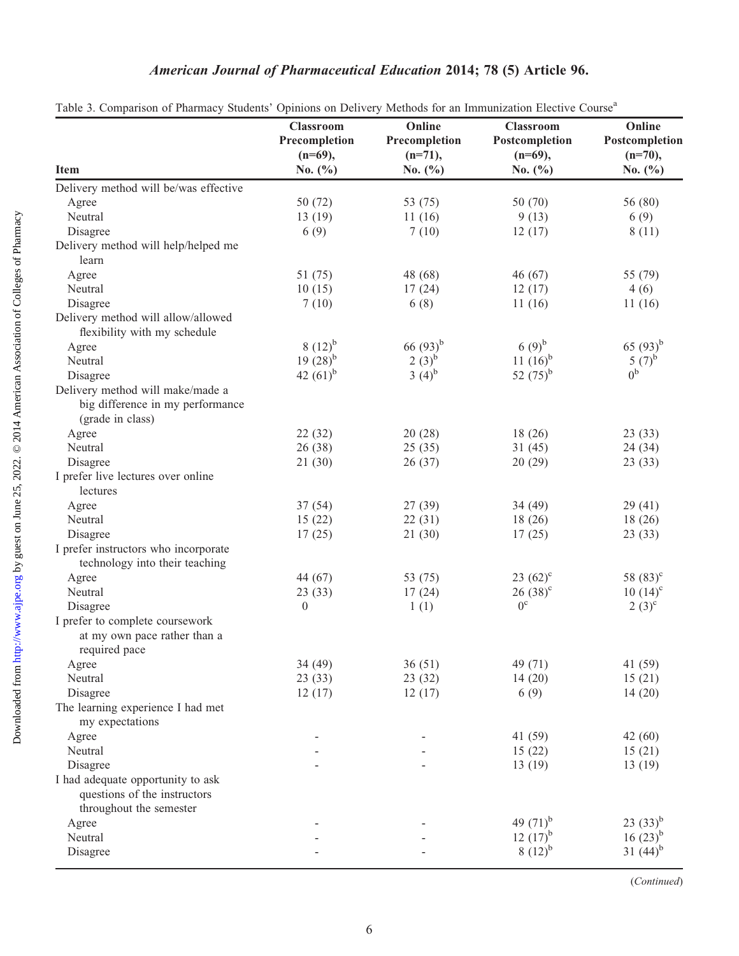# American Journal of Pharmaceutical Education 2014; 78 (5) Article 96.

|                                                                                              | <b>Classroom</b><br>Precompletion<br>$(n=69)$ , | Online<br>Precompletion<br>$(n=71)$ , | opinions on Benvery intended for an immunication Electric Course<br><b>Classroom</b><br>Postcompletion<br>$(n=69)$ , | Online<br>Postcompletion<br>$(n=70)$ , |
|----------------------------------------------------------------------------------------------|-------------------------------------------------|---------------------------------------|----------------------------------------------------------------------------------------------------------------------|----------------------------------------|
| <b>Item</b>                                                                                  | No. $(\% )$                                     | No. $(\% )$                           | No. $(\% )$                                                                                                          | No. $(\% )$                            |
| Delivery method will be/was effective                                                        |                                                 |                                       |                                                                                                                      |                                        |
| Agree                                                                                        | 50 (72)                                         | 53 (75)                               | 50 (70)                                                                                                              | 56 (80)                                |
| Neutral                                                                                      | 13(19)                                          | 11(16)                                | 9(13)                                                                                                                | 6(9)                                   |
| Disagree                                                                                     | 6(9)                                            | 7(10)                                 | 12(17)                                                                                                               | 8(11)                                  |
| Delivery method will help/helped me<br>learn                                                 |                                                 |                                       |                                                                                                                      |                                        |
| Agree                                                                                        | 51 (75)                                         | 48 (68)                               | 46(67)                                                                                                               | 55 (79)                                |
| Neutral                                                                                      | 10(15)                                          | 17(24)                                | 12(17)                                                                                                               | 4(6)                                   |
| Disagree                                                                                     | 7(10)                                           | 6(8)                                  | 11(16)                                                                                                               | 11(16)                                 |
| Delivery method will allow/allowed                                                           |                                                 |                                       |                                                                                                                      |                                        |
| flexibility with my schedule                                                                 |                                                 |                                       |                                                                                                                      |                                        |
| Agree                                                                                        | 8 $(12)^{b}$                                    | 66 $(93)^{b}$                         | $(9)^{b}$                                                                                                            | 65 $(93)^{b}$                          |
| Neutral                                                                                      | $19(28)^{b}$                                    | $2(3)^{6}$                            | 11 $(16)^b$                                                                                                          | 5 $(7)^{6}$                            |
| Disagree                                                                                     | 42 $(61)^{b}$                                   | 3 $(4)^{b}$                           | 52 $(75)^{b}$                                                                                                        | 0 <sup>b</sup>                         |
| Delivery method will make/made a<br>big difference in my performance<br>(grade in class)     |                                                 |                                       |                                                                                                                      |                                        |
| Agree                                                                                        | 22(32)                                          | 20(28)                                | 18(26)                                                                                                               | 23(33)                                 |
| Neutral                                                                                      | 26(38)                                          | 25(35)                                | 31(45)                                                                                                               | 24(34)                                 |
| Disagree                                                                                     | 21(30)                                          | 26(37)                                | 20(29)                                                                                                               | 23(33)                                 |
| I prefer live lectures over online<br>lectures                                               |                                                 |                                       |                                                                                                                      |                                        |
| Agree                                                                                        | 37(54)                                          | 27(39)                                | 34(49)                                                                                                               | 29(41)                                 |
| Neutral                                                                                      | 15(22)                                          | 22(31)                                | 18(26)                                                                                                               | 18(26)                                 |
| Disagree                                                                                     | 17(25)                                          | 21(30)                                | 17(25)                                                                                                               | 23(33)                                 |
| I prefer instructors who incorporate                                                         |                                                 |                                       |                                                                                                                      |                                        |
| technology into their teaching                                                               |                                                 |                                       |                                                                                                                      |                                        |
| Agree                                                                                        | 44 (67)                                         | 53 (75)                               | $23(62)^c$                                                                                                           | 58 $(83)^c$                            |
| Neutral                                                                                      | 23(33)                                          | 17(24)                                | $26(38)^c$                                                                                                           | $10(14)^{c}$                           |
| Disagree                                                                                     | $\mathbf{0}$                                    | 1(1)                                  | $0^{\circ}$                                                                                                          | $2(3)^{c}$                             |
| I prefer to complete coursework<br>at my own pace rather than a<br>required pace             |                                                 |                                       |                                                                                                                      |                                        |
| Agree                                                                                        | 34 (49)                                         | 36(51)                                | 49 (71)                                                                                                              | 41 (59)                                |
| Neutral                                                                                      | 23(33)                                          | 23(32)                                | 14(20)                                                                                                               | 15(21)                                 |
| Disagree                                                                                     | 12(17)                                          | 12(17)                                | 6(9)                                                                                                                 | 14(20)                                 |
| The learning experience I had met<br>my expectations                                         |                                                 |                                       |                                                                                                                      |                                        |
| Agree                                                                                        |                                                 |                                       | 41 (59)                                                                                                              | 42(60)                                 |
| Neutral                                                                                      |                                                 |                                       | 15(22)                                                                                                               | 15(21)                                 |
| Disagree                                                                                     |                                                 |                                       | 13(19)                                                                                                               | 13(19)                                 |
| I had adequate opportunity to ask<br>questions of the instructors<br>throughout the semester |                                                 |                                       |                                                                                                                      |                                        |
| Agree                                                                                        |                                                 |                                       | 49 $(71)^{b}$                                                                                                        | $23(33)^{b}$                           |
| Neutral                                                                                      |                                                 |                                       | $12 (17)^{b}$                                                                                                        | $16(23)^{b}$                           |
| Disagree                                                                                     |                                                 |                                       | $8(12)^{b}$                                                                                                          | 31 $(44)^{b}$                          |

|  |  |  |  | Table 3. Comparison of Pharmacy Students' Opinions on Delivery Methods for an Immunization Elective Course <sup>a</sup> |  |
|--|--|--|--|-------------------------------------------------------------------------------------------------------------------------|--|
|  |  |  |  |                                                                                                                         |  |

(Continued)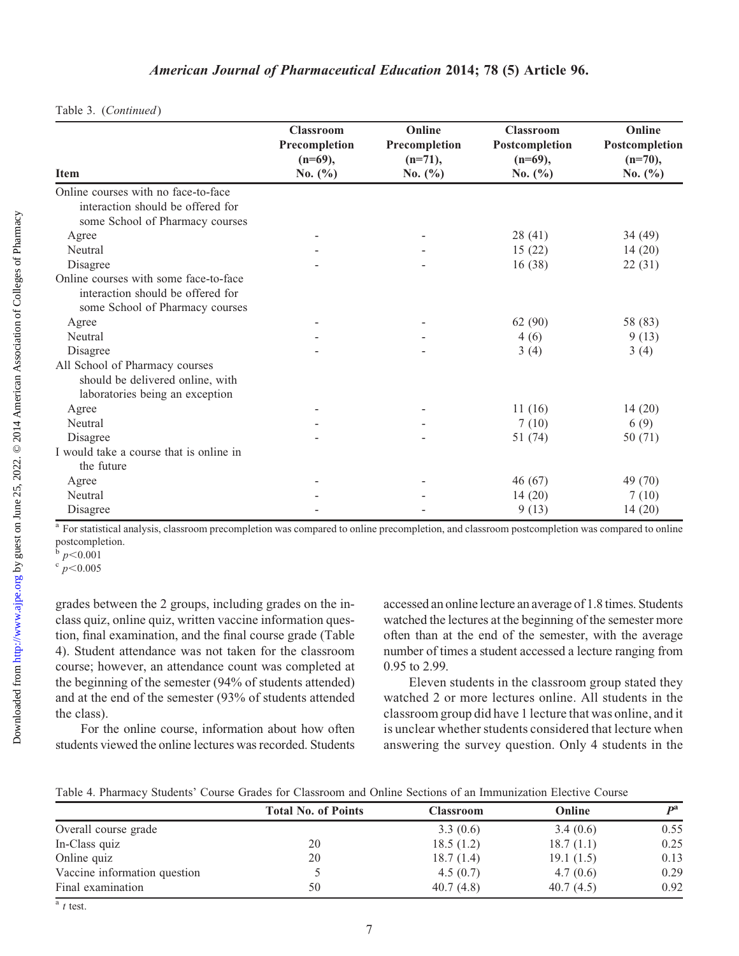|                                                                                                               | <b>Classroom</b><br>Precompletion | Online<br>Precompletion  | <b>Classroom</b><br>Postcompletion | Online<br>Postcompletion  |
|---------------------------------------------------------------------------------------------------------------|-----------------------------------|--------------------------|------------------------------------|---------------------------|
| <b>Item</b>                                                                                                   | $(n=69)$ ,<br>No. $(\% )$         | $(n=71)$ ,<br>No. $(\%)$ | $(n=69)$ ,<br>No. $(\% )$          | $(n=70)$ ,<br>No. $(\% )$ |
| Online courses with no face-to-face<br>interaction should be offered for<br>some School of Pharmacy courses   |                                   |                          |                                    |                           |
| Agree                                                                                                         |                                   |                          | 28(41)                             | 34 (49)                   |
| Neutral                                                                                                       |                                   |                          | 15(22)                             | 14(20)                    |
| Disagree                                                                                                      |                                   |                          | 16(38)                             | 22(31)                    |
| Online courses with some face-to-face<br>interaction should be offered for<br>some School of Pharmacy courses |                                   |                          |                                    |                           |
| Agree                                                                                                         |                                   |                          | 62(90)                             | 58 (83)                   |
| Neutral                                                                                                       |                                   |                          | 4(6)                               | 9(13)                     |
| Disagree                                                                                                      |                                   |                          | 3(4)                               | 3(4)                      |
| All School of Pharmacy courses<br>should be delivered online, with<br>laboratories being an exception         |                                   |                          |                                    |                           |
| Agree                                                                                                         |                                   |                          | 11(16)                             | 14(20)                    |
| Neutral                                                                                                       |                                   |                          | 7(10)                              | 6(9)                      |
| Disagree                                                                                                      |                                   |                          | 51 (74)                            | 50 $(71)$                 |
| I would take a course that is online in<br>the future                                                         |                                   |                          |                                    |                           |
| Agree                                                                                                         |                                   |                          | 46(67)                             | 49 (70)                   |
| Neutral                                                                                                       |                                   |                          | 14(20)                             | 7(10)                     |
| Disagree                                                                                                      |                                   |                          | 9(13)                              | 14(20)                    |

Table 3. (Continued)

<sup>a</sup> For statistical analysis, classroom precompletion was compared to online precompletion, and classroom postcompletion was compared to online postcompletion.

 $\overline{p} < 0.001$ <br> $\overline{p} < 0.005$ 

grades between the 2 groups, including grades on the inclass quiz, online quiz, written vaccine information question, final examination, and the final course grade (Table 4). Student attendance was not taken for the classroom course; however, an attendance count was completed at the beginning of the semester (94% of students attended) and at the end of the semester (93% of students attended the class).

For the online course, information about how often students viewed the online lectures was recorded. Students accessed an onlinelecture an average of 1.8 times. Students watched the lectures at the beginning of the semester more often than at the end of the semester, with the average number of times a student accessed a lecture ranging from 0.95 to 2.99.

Eleven students in the classroom group stated they watched 2 or more lectures online. All students in the classroom group did have 1 lecture that was online, and it is unclear whether students considered that lecture when answering the survey question. Only 4 students in the

|                              | <b>Total No. of Points</b> | Classroom | Online    | D <sup>a</sup> |
|------------------------------|----------------------------|-----------|-----------|----------------|
| Overall course grade         |                            | 3.3(0.6)  | 3.4(0.6)  | 0.55           |
| In-Class quiz                | 20                         | 18.5(1.2) | 18.7(1.1) | 0.25           |
| Online quiz                  | 20                         | 18.7(1.4) | 19.1(1.5) | 0.13           |
| Vaccine information question |                            | 4.5(0.7)  | 4.7(0.6)  | 0.29           |
| Final examination            | 50                         | 40.7(4.8) | 40.7(4.5) | 0.92           |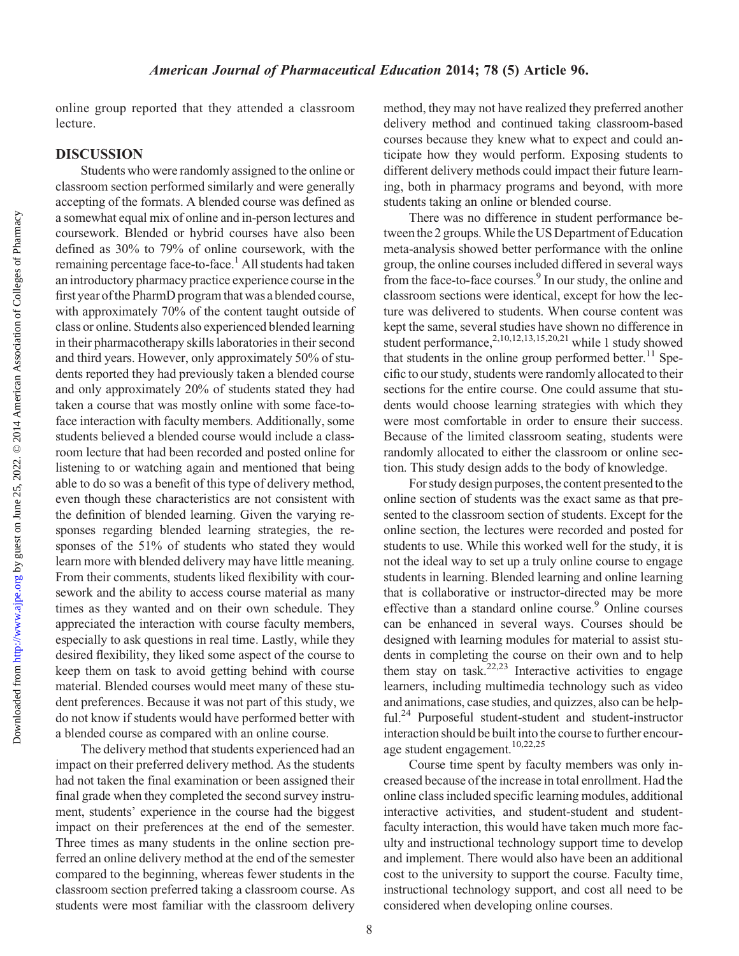online group reported that they attended a classroom lecture.

## DISCUSSION

Students who were randomly assigned to the online or classroom section performed similarly and were generally accepting of the formats. A blended course was defined as a somewhat equal mix of online and in-person lectures and coursework. Blended or hybrid courses have also been defined as 30% to 79% of online coursework, with the remaining percentage face-to-face.<sup>1</sup> All students had taken anintroductory pharmacy practice experience course in the first year ofthe PharmD program that was a blended course, with approximately 70% of the content taught outside of class or online. Students also experienced blended learning in their pharmacotherapy skills laboratories in their second and third years. However, only approximately 50% of students reported they had previously taken a blended course and only approximately 20% of students stated they had taken a course that was mostly online with some face-toface interaction with faculty members. Additionally, some students believed a blended course would include a classroom lecture that had been recorded and posted online for listening to or watching again and mentioned that being able to do so was a benefit of this type of delivery method, even though these characteristics are not consistent with the definition of blended learning. Given the varying responses regarding blended learning strategies, the responses of the 51% of students who stated they would learn more with blended delivery may have little meaning. From their comments, students liked flexibility with coursework and the ability to access course material as many times as they wanted and on their own schedule. They appreciated the interaction with course faculty members, especially to ask questions in real time. Lastly, while they desired flexibility, they liked some aspect of the course to keep them on task to avoid getting behind with course material. Blended courses would meet many of these student preferences. Because it was not part of this study, we do not know if students would have performed better with a blended course as compared with an online course.

The delivery method that students experienced had an impact on their preferred delivery method. As the students had not taken the final examination or been assigned their final grade when they completed the second survey instrument, students' experience in the course had the biggest impact on their preferences at the end of the semester. Three times as many students in the online section preferred an online delivery method at the end of the semester compared to the beginning, whereas fewer students in the classroom section preferred taking a classroom course. As students were most familiar with the classroom delivery

method, they may not have realized they preferred another delivery method and continued taking classroom-based courses because they knew what to expect and could anticipate how they would perform. Exposing students to different delivery methods could impact their future learning, both in pharmacy programs and beyond, with more students taking an online or blended course.

There was no difference in student performance between the 2 groups. While the US Department of Education meta-analysis showed better performance with the online group, the online courses included differed in several ways from the face-to-face courses.<sup>9</sup> In our study, the online and classroom sections were identical, except for how the lecture was delivered to students. When course content was kept the same, several studies have shown no difference in student performance, $^{2,10,12,13,15,20,21}$  while 1 study showed that students in the online group performed better.<sup>11</sup> Specific to our study, students were randomly allocated to their sections for the entire course. One could assume that students would choose learning strategies with which they were most comfortable in order to ensure their success. Because of the limited classroom seating, students were randomly allocated to either the classroom or online section. This study design adds to the body of knowledge.

For study design purposes, the content presented to the online section of students was the exact same as that presented to the classroom section of students. Except for the online section, the lectures were recorded and posted for students to use. While this worked well for the study, it is not the ideal way to set up a truly online course to engage students in learning. Blended learning and online learning that is collaborative or instructor-directed may be more effective than a standard online course.<sup>9</sup> Online courses can be enhanced in several ways. Courses should be designed with learning modules for material to assist students in completing the course on their own and to help them stay on task.<sup>22,23</sup> Interactive activities to engage learners, including multimedia technology such as video and animations, case studies, and quizzes, also can be helpful.<sup>24</sup> Purposeful student-student and student-instructor interaction should be built into the course to further encourage student engagement.<sup>10,22,25</sup>

Course time spent by faculty members was only increased because of the increase in total enrollment. Had the online class included specific learning modules, additional interactive activities, and student-student and studentfaculty interaction, this would have taken much more faculty and instructional technology support time to develop and implement. There would also have been an additional cost to the university to support the course. Faculty time, instructional technology support, and cost all need to be considered when developing online courses.